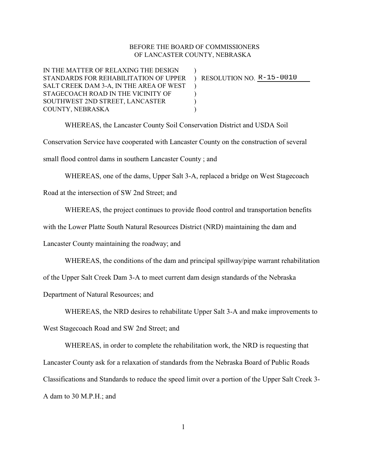## BEFORE THE BOARD OF COMMISSIONERS OF LANCASTER COUNTY, NEBRASKA

IN THE MATTER OF RELAXING THE DESIGN STANDARDS FOR REHABILITATION OF UPPER ) RESOLUTION NO. **R-15-0010** SALT CREEK DAM 3-A, IN THE AREA OF WEST ) STAGECOACH ROAD IN THE VICINITY OF  $\qquad\qquad$ SOUTHWEST 2ND STREET, LANCASTER  $)$ COUNTY, NEBRASKA )

WHEREAS, the Lancaster County Soil Conservation District and USDA Soil Conservation Service have cooperated with Lancaster County on the construction of several small flood control dams in southern Lancaster County ; and

WHEREAS, one of the dams, Upper Salt 3-A, replaced a bridge on West Stagecoach

Road at the intersection of SW 2nd Street; and

WHEREAS, the project continues to provide flood control and transportation benefits

with the Lower Platte South Natural Resources District (NRD) maintaining the dam and

Lancaster County maintaining the roadway; and

WHEREAS, the conditions of the dam and principal spillway/pipe warrant rehabilitation

of the Upper Salt Creek Dam 3-A to meet current dam design standards of the Nebraska

Department of Natural Resources; and

WHEREAS, the NRD desires to rehabilitate Upper Salt 3-A and make improvements to West Stagecoach Road and SW 2nd Street; and

WHEREAS, in order to complete the rehabilitation work, the NRD is requesting that Lancaster County ask for a relaxation of standards from the Nebraska Board of Public Roads Classifications and Standards to reduce the speed limit over a portion of the Upper Salt Creek 3- A dam to 30 M.P.H.; and